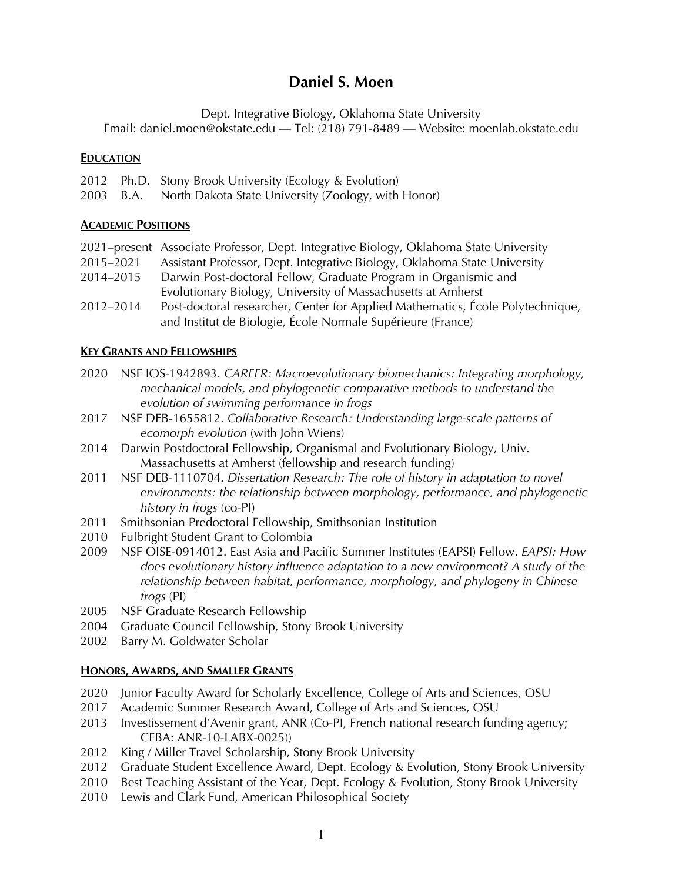# **Daniel S. Moen**

Dept. Integrative Biology, Oklahoma State University

Email: daniel.moen@okstate.edu — Tel: (218) 791-8489 — Website: moenlab.okstate.edu

#### **EDUCATION**

- 2012 Ph.D. Stony Brook University (Ecology & Evolution)
- 2003 B.A. North Dakota State University (Zoology, with Honor)

## **ACADEMIC POSITIONS**

|           | 2021–present Associate Professor, Dept. Integrative Biology, Oklahoma State University |
|-----------|----------------------------------------------------------------------------------------|
| 2015-2021 | Assistant Professor, Dept. Integrative Biology, Oklahoma State University              |
| 2014-2015 | Darwin Post-doctoral Fellow, Graduate Program in Organismic and                        |
|           | Evolutionary Biology, University of Massachusetts at Amherst                           |
| 2012-2014 | Post-doctoral researcher, Center for Applied Mathematics, École Polytechnique,         |
|           | and Institut de Biologie, École Normale Supérieure (France)                            |

#### **KEY GRANTS AND FELLOWSHIPS**

- 2020 NSF IOS-1942893. *CAREER: Macroevolutionary biomechanics: Integrating morphology, mechanical models, and phylogenetic comparative methods to understand the evolution of swimming performance in frogs*
- 2017 NSF DEB-1655812. *Collaborative Research: Understanding large-scale patterns of ecomorph evolution* (with John Wiens)
- 2014 Darwin Postdoctoral Fellowship, Organismal and Evolutionary Biology, Univ. Massachusetts at Amherst (fellowship and research funding)
- 2011 NSF DEB-1110704. *Dissertation Research: The role of history in adaptation to novel environments: the relationship between morphology, performance, and phylogenetic history in frogs* (co-PI)
- 2011 Smithsonian Predoctoral Fellowship, Smithsonian Institution
- 2010 Fulbright Student Grant to Colombia
- 2009 NSF OISE-0914012. East Asia and Pacific Summer Institutes (EAPSI) Fellow. *EAPSI: How does evolutionary history influence adaptation to a new environment? A study of the relationship between habitat, performance, morphology, and phylogeny in Chinese frogs* (PI)
- 2005 NSF Graduate Research Fellowship
- 2004 Graduate Council Fellowship, Stony Brook University
- 2002 Barry M. Goldwater Scholar

## **HONORS, AWARDS, AND SMALLER GRANTS**

- 2020 Junior Faculty Award for Scholarly Excellence, College of Arts and Sciences, OSU
- 2017 Academic Summer Research Award, College of Arts and Sciences, OSU
- 2013 Investissement d'Avenir grant, ANR (Co-PI, French national research funding agency; CEBA: ANR-10-LABX-0025))
- 2012 King / Miller Travel Scholarship, Stony Brook University
- 2012 Graduate Student Excellence Award, Dept. Ecology & Evolution, Stony Brook University
- 2010 Best Teaching Assistant of the Year, Dept. Ecology & Evolution, Stony Brook University
- 2010 Lewis and Clark Fund, American Philosophical Society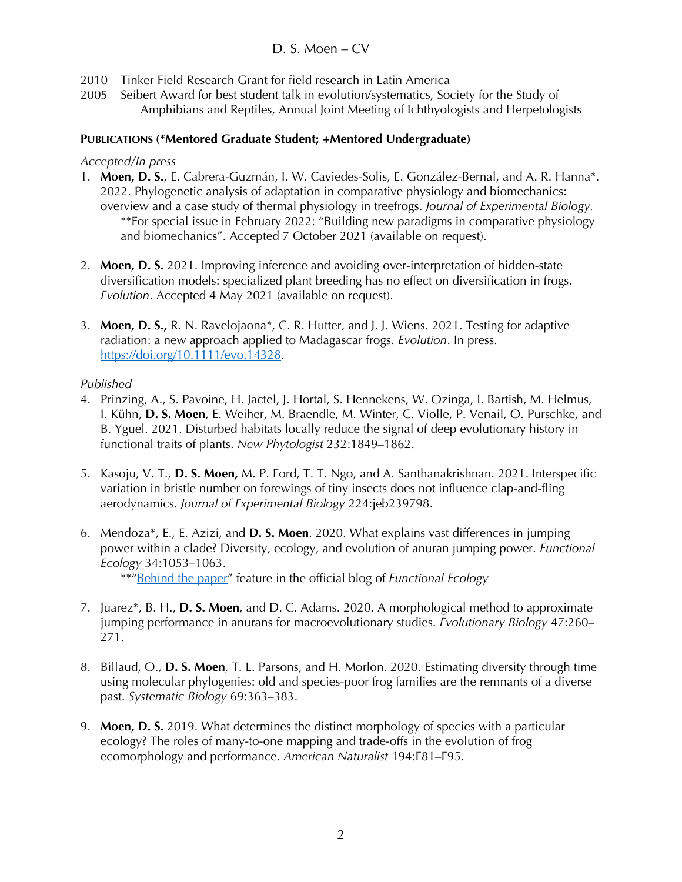# D. S. Moen – CV

- 2010 Tinker Field Research Grant for field research in Latin America
- 2005 Seibert Award for best student talk in evolution/systematics, Society for the Study of Amphibians and Reptiles, Annual Joint Meeting of Ichthyologists and Herpetologists

#### **PUBLICATIONS (\*Mentored Graduate Student; +Mentored Undergraduate)**

#### *Accepted/In press*

- 1. **Moen, D. S.**, E. Cabrera-Guzmán, I. W. Caviedes-Solis, E. González-Bernal, and A. R. Hanna\*. 2022. Phylogenetic analysis of adaptation in comparative physiology and biomechanics: overview and a case study of thermal physiology in treefrogs. *Journal of Experimental Biology.*  \*\*For special issue in February 2022: "Building new paradigms in comparative physiology and biomechanics". Accepted 7 October 2021 (available on request).
- 2. **Moen, D. S.** 2021. Improving inference and avoiding over-interpretation of hidden-state diversification models: specialized plant breeding has no effect on diversification in frogs. *Evolution*. Accepted 4 May 2021 (available on request).
- 3. **Moen, D. S.,** R. N. Ravelojaona\*, C. R. Hutter, and J. J. Wiens. 2021. Testing for adaptive radiation: a new approach applied to Madagascar frogs. *Evolution*. In press. https://doi.org/10.1111/evo.14328.

## *Published*

- 4. Prinzing, A., S. Pavoine, H. Jactel, J. Hortal, S. Hennekens, W. Ozinga, I. Bartish, M. Helmus, I. Kühn, **D. S. Moen**, E. Weiher, M. Braendle, M. Winter, C. Violle, P. Venail, O. Purschke, and B. Yguel. 2021. Disturbed habitats locally reduce the signal of deep evolutionary history in functional traits of plants. *New Phytologist* 232:1849–1862.
- 5. Kasoju, V. T., **D. S. Moen,** M. P. Ford, T. T. Ngo, and A. Santhanakrishnan. 2021. Interspecific variation in bristle number on forewings of tiny insects does not influence clap-and-fling aerodynamics. *Journal of Experimental Biology* 224:jeb239798.
- 6. Mendoza\*, E., E. Azizi, and **D. S. Moen**. 2020. What explains vast differences in jumping power within a clade? Diversity, ecology, and evolution of anuran jumping power. *Functional Ecology* 34:1053–1063. \*\*"Behind the paper" feature in the official blog of *Functional Ecology*
- 7. Juarez\*, B. H., **D. S. Moen**, and D. C. Adams. 2020. A morphological method to approximate jumping performance in anurans for macroevolutionary studies. *Evolutionary Biology* 47:260– 271.
- 8. Billaud, O., **D. S. Moen**, T. L. Parsons, and H. Morlon. 2020. Estimating diversity through time using molecular phylogenies: old and species-poor frog families are the remnants of a diverse past. *Systematic Biology* 69:363–383.
- 9. **Moen, D. S.** 2019. What determines the distinct morphology of species with a particular ecology? The roles of many-to-one mapping and trade-offs in the evolution of frog ecomorphology and performance. *American Naturalist* 194:E81–E95.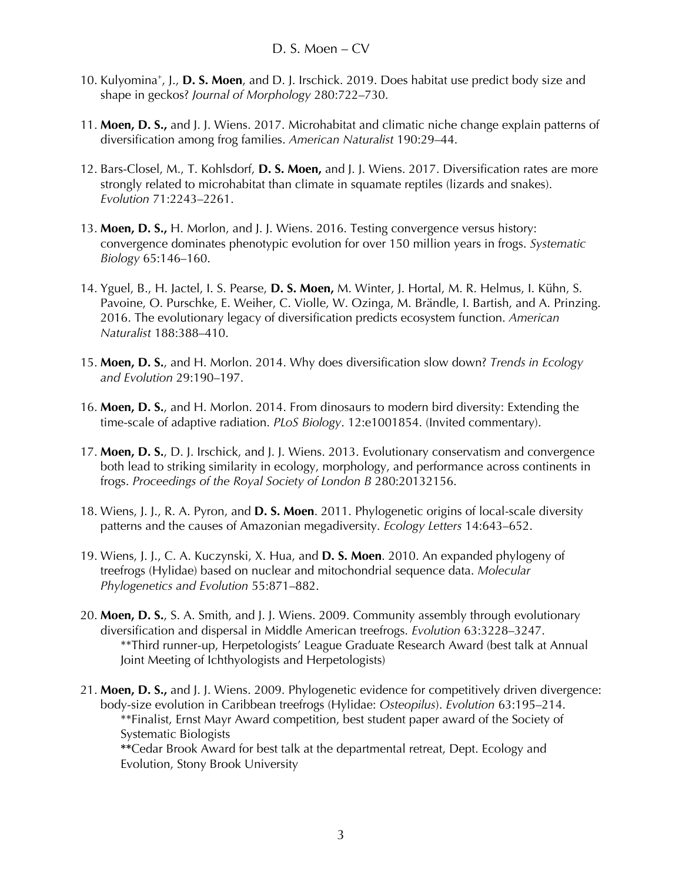- 10. Kulyomina<sup>+</sup>, J., **D. S. Moen**, and D. J. Irschick. 2019. Does habitat use predict body size and shape in geckos? *Journal of Morphology* 280:722–730.
- 11. **Moen, D. S.,** and J. J. Wiens. 2017. Microhabitat and climatic niche change explain patterns of diversification among frog families. *American Naturalist* 190:29–44.
- 12. Bars-Closel, M., T. Kohlsdorf, **D. S. Moen,** and J. J. Wiens. 2017. Diversification rates are more strongly related to microhabitat than climate in squamate reptiles (lizards and snakes). *Evolution* 71:2243–2261.
- 13. **Moen, D. S.,** H. Morlon, and J. J. Wiens. 2016. Testing convergence versus history: convergence dominates phenotypic evolution for over 150 million years in frogs. *Systematic Biology* 65:146–160.
- 14. Yguel, B., H. Jactel, I. S. Pearse, **D. S. Moen,** M. Winter, J. Hortal, M. R. Helmus, I. Kühn, S. Pavoine, O. Purschke, E. Weiher, C. Violle, W. Ozinga, M. Brändle, I. Bartish, and A. Prinzing. 2016. The evolutionary legacy of diversification predicts ecosystem function. *American Naturalist* 188:388–410.
- 15. **Moen, D. S.**, and H. Morlon. 2014. Why does diversification slow down? *Trends in Ecology and Evolution* 29:190–197.
- 16. **Moen, D. S.**, and H. Morlon. 2014. From dinosaurs to modern bird diversity: Extending the time-scale of adaptive radiation. *PLoS Biology*. 12:e1001854. (Invited commentary).
- 17. **Moen, D. S.**, D. J. Irschick, and J. J. Wiens. 2013. Evolutionary conservatism and convergence both lead to striking similarity in ecology, morphology, and performance across continents in frogs. *Proceedings of the Royal Society of London B* 280:20132156.
- 18. Wiens, J. J., R. A. Pyron, and **D. S. Moen**. 2011. Phylogenetic origins of local-scale diversity patterns and the causes of Amazonian megadiversity. *Ecology Letters* 14:643–652.
- 19. Wiens, J. J., C. A. Kuczynski, X. Hua, and **D. S. Moen**. 2010. An expanded phylogeny of treefrogs (Hylidae) based on nuclear and mitochondrial sequence data. *Molecular Phylogenetics and Evolution* 55:871–882.
- 20. **Moen, D. S.**, S. A. Smith, and J. J. Wiens. 2009. Community assembly through evolutionary diversification and dispersal in Middle American treefrogs. *Evolution* 63:3228–3247. \*\*Third runner-up, Herpetologists' League Graduate Research Award (best talk at Annual Joint Meeting of Ichthyologists and Herpetologists)
- 21. **Moen, D. S.,** and J. J. Wiens. 2009. Phylogenetic evidence for competitively driven divergence: body-size evolution in Caribbean treefrogs (Hylidae: *Osteopilus*). *Evolution* 63:195–214. \*\*Finalist, Ernst Mayr Award competition, best student paper award of the Society of Systematic Biologists

**\*\***Cedar Brook Award for best talk at the departmental retreat, Dept. Ecology and Evolution, Stony Brook University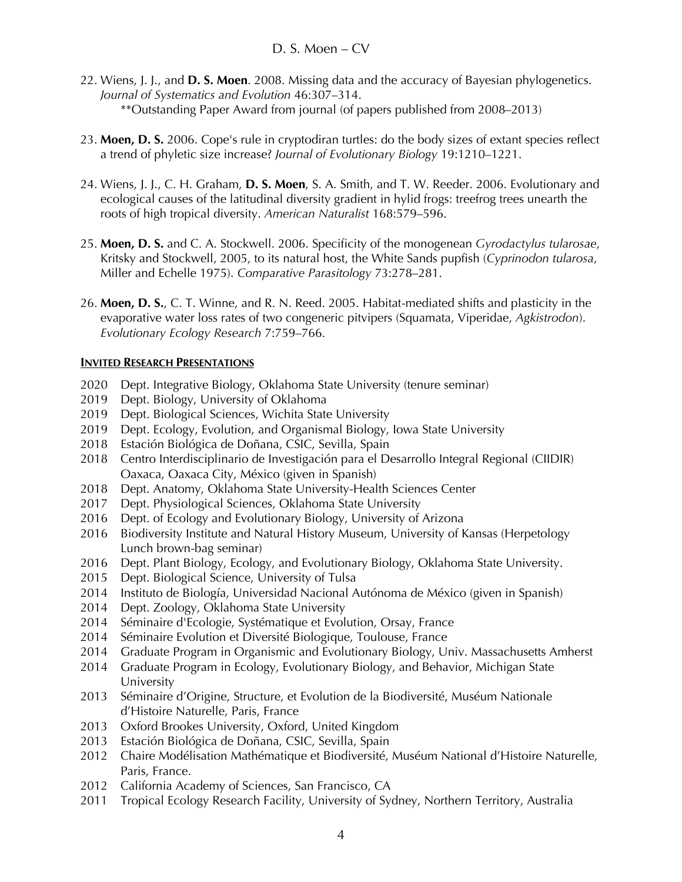- 22. Wiens, J. J., and **D. S. Moen**. 2008. Missing data and the accuracy of Bayesian phylogenetics. *Journal of Systematics and Evolution* 46:307–314. \*\*Outstanding Paper Award from journal (of papers published from 2008–2013)
- 23. **Moen, D. S.** 2006. Cope's rule in cryptodiran turtles: do the body sizes of extant species reflect a trend of phyletic size increase? *Journal of Evolutionary Biology* 19:1210–1221.
- 24. Wiens, J. J., C. H. Graham, **D. S. Moen**, S. A. Smith, and T. W. Reeder. 2006. Evolutionary and ecological causes of the latitudinal diversity gradient in hylid frogs: treefrog trees unearth the roots of high tropical diversity. *American Naturalist* 168:579–596.
- 25. **Moen, D. S.** and C. A. Stockwell. 2006. Specificity of the monogenean *Gyrodactylus tularosae*, Kritsky and Stockwell, 2005, to its natural host, the White Sands pupfish (*Cyprinodon tularosa*, Miller and Echelle 1975). *Comparative Parasitology* 73:278–281.
- 26. **Moen, D. S.**, C. T. Winne, and R. N. Reed. 2005. Habitat-mediated shifts and plasticity in the evaporative water loss rates of two congeneric pitvipers (Squamata, Viperidae, *Agkistrodon*). *Evolutionary Ecology Research* 7:759–766.

#### **INVITED RESEARCH PRESENTATIONS**

- 2020 Dept. Integrative Biology, Oklahoma State University (tenure seminar)
- 2019 Dept. Biology, University of Oklahoma
- 2019 Dept. Biological Sciences, Wichita State University
- 2019 Dept. Ecology, Evolution, and Organismal Biology, Iowa State University
- 2018 Estación Biológica de Doñana, CSIC, Sevilla, Spain
- 2018 Centro Interdisciplinario de Investigación para el Desarrollo Integral Regional (CIIDIR) Oaxaca, Oaxaca City, México (given in Spanish)
- 2018 Dept. Anatomy, Oklahoma State University-Health Sciences Center
- 2017 Dept. Physiological Sciences, Oklahoma State University
- 2016 Dept. of Ecology and Evolutionary Biology, University of Arizona
- 2016 Biodiversity Institute and Natural History Museum, University of Kansas (Herpetology Lunch brown-bag seminar)
- 2016 Dept. Plant Biology, Ecology, and Evolutionary Biology, Oklahoma State University.
- 2015 Dept. Biological Science, University of Tulsa
- 2014 Instituto de Biología, Universidad Nacional Autónoma de México (given in Spanish)
- 2014 Dept. Zoology, Oklahoma State University
- 2014 Séminaire d'Ecologie, Systématique et Evolution, Orsay, France
- 2014 Séminaire Evolution et Diversité Biologique, Toulouse, France
- 2014 Graduate Program in Organismic and Evolutionary Biology, Univ. Massachusetts Amherst
- 2014 Graduate Program in Ecology, Evolutionary Biology, and Behavior, Michigan State University
- 2013 Séminaire d'Origine, Structure, et Evolution de la Biodiversité, Muséum Nationale d'Histoire Naturelle, Paris, France
- 2013 Oxford Brookes University, Oxford, United Kingdom
- 2013 Estación Biológica de Doñana, CSIC, Sevilla, Spain
- 2012 Chaire Modélisation Mathématique et Biodiversité, Muséum National d'Histoire Naturelle, Paris, France.
- 2012 California Academy of Sciences, San Francisco, CA
- 2011 Tropical Ecology Research Facility, University of Sydney, Northern Territory, Australia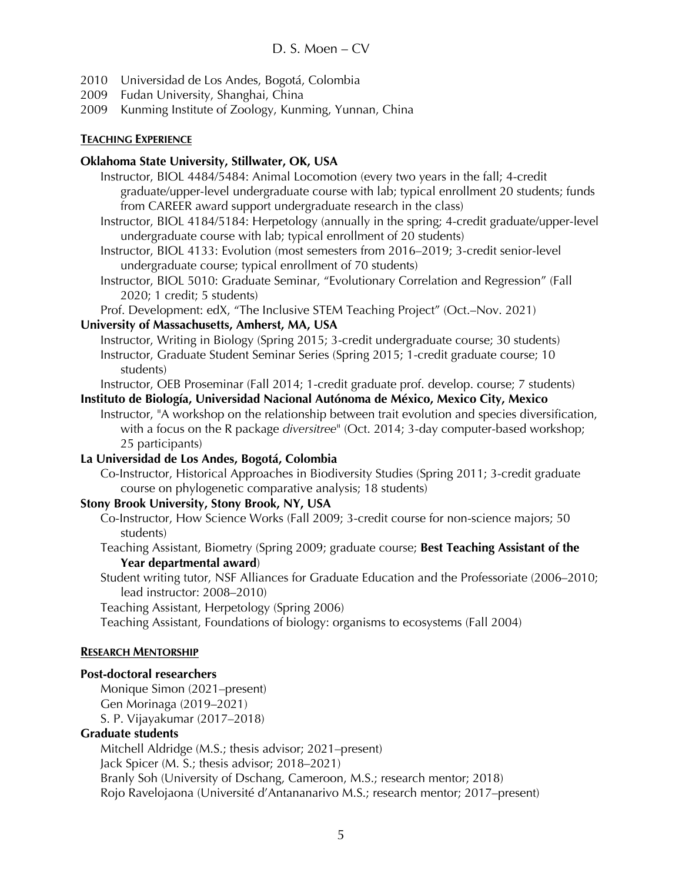- 2010 Universidad de Los Andes, Bogotá, Colombia
- 2009 Fudan University, Shanghai, China
- 2009 Kunming Institute of Zoology, Kunming, Yunnan, China

#### **TEACHING EXPERIENCE**

#### **Oklahoma State University, Stillwater, OK, USA**

- Instructor, BIOL 4484/5484: Animal Locomotion (every two years in the fall; 4-credit graduate/upper-level undergraduate course with lab; typical enrollment 20 students; funds from CAREER award support undergraduate research in the class)
- Instructor, BIOL 4184/5184: Herpetology (annually in the spring; 4-credit graduate/upper-level undergraduate course with lab; typical enrollment of 20 students)

Instructor, BIOL 4133: Evolution (most semesters from 2016–2019; 3-credit senior-level undergraduate course; typical enrollment of 70 students)

Instructor, BIOL 5010: Graduate Seminar, "Evolutionary Correlation and Regression" (Fall 2020; 1 credit; 5 students)

Prof. Development: edX, "The Inclusive STEM Teaching Project" (Oct.–Nov. 2021)

## **University of Massachusetts, Amherst, MA, USA**

Instructor, Writing in Biology (Spring 2015; 3-credit undergraduate course; 30 students) Instructor, Graduate Student Seminar Series (Spring 2015; 1-credit graduate course; 10 students)

Instructor, OEB Proseminar (Fall 2014; 1-credit graduate prof. develop. course; 7 students)

**Instituto de Biología, Universidad Nacional Autónoma de México, Mexico City, Mexico** Instructor, "A workshop on the relationship between trait evolution and species diversification, with a focus on the R package *diversitree*" (Oct. 2014; 3-day computer-based workshop; 25 participants)

## **La Universidad de Los Andes, Bogotá, Colombia**

Co-Instructor, Historical Approaches in Biodiversity Studies (Spring 2011; 3-credit graduate course on phylogenetic comparative analysis; 18 students)

## **Stony Brook University, Stony Brook, NY, USA**

Co-Instructor, How Science Works (Fall 2009; 3-credit course for non-science majors; 50 students)

Teaching Assistant, Biometry (Spring 2009; graduate course; **Best Teaching Assistant of the Year departmental award**)

Student writing tutor, NSF Alliances for Graduate Education and the Professoriate (2006–2010; lead instructor: 2008–2010)

Teaching Assistant, Herpetology (Spring 2006)

Teaching Assistant, Foundations of biology: organisms to ecosystems (Fall 2004)

## **RESEARCH MENTORSHIP**

## **Post-doctoral researchers**

Monique Simon (2021–present) Gen Morinaga (2019–2021) S. P. Vijayakumar (2017–2018)

## **Graduate students**

Mitchell Aldridge (M.S.; thesis advisor; 2021–present) Jack Spicer (M. S.; thesis advisor; 2018–2021) Branly Soh (University of Dschang, Cameroon, M.S.; research mentor; 2018) Rojo Ravelojaona (Université d'Antananarivo M.S.; research mentor; 2017–present)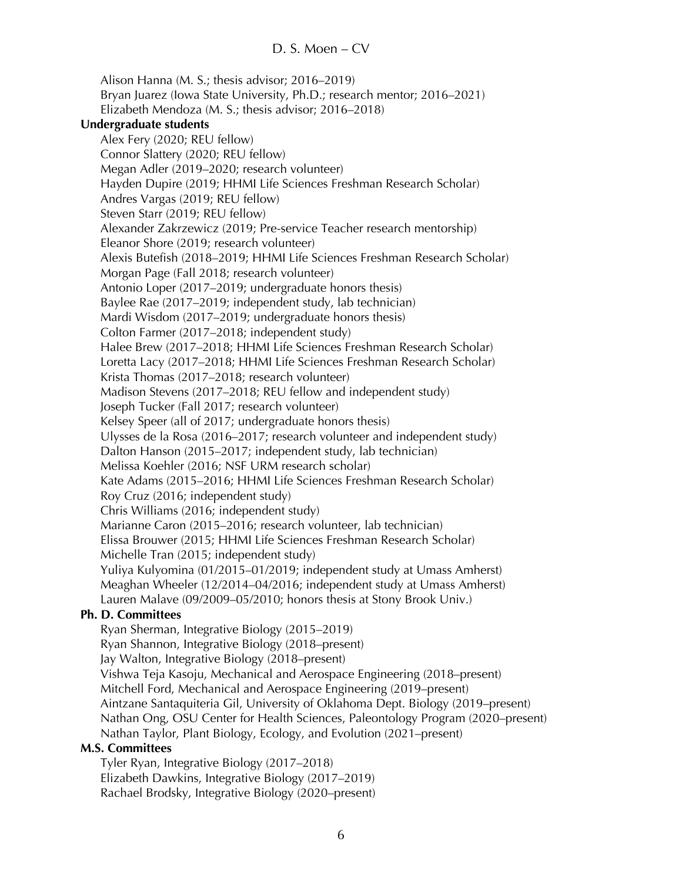Alison Hanna (M. S.; thesis advisor; 2016–2019) Bryan Juarez (Iowa State University, Ph.D.; research mentor; 2016–2021) Elizabeth Mendoza (M. S.; thesis advisor; 2016–2018) **Undergraduate students**  Alex Fery (2020; REU fellow) Connor Slattery (2020; REU fellow) Megan Adler (2019–2020; research volunteer) Hayden Dupire (2019; HHMI Life Sciences Freshman Research Scholar) Andres Vargas (2019; REU fellow) Steven Starr (2019; REU fellow) Alexander Zakrzewicz (2019; Pre-service Teacher research mentorship) Eleanor Shore (2019; research volunteer) Alexis Butefish (2018–2019; HHMI Life Sciences Freshman Research Scholar) Morgan Page (Fall 2018; research volunteer) Antonio Loper (2017–2019; undergraduate honors thesis) Baylee Rae (2017–2019; independent study, lab technician) Mardi Wisdom (2017–2019; undergraduate honors thesis) Colton Farmer (2017–2018; independent study) Halee Brew (2017–2018; HHMI Life Sciences Freshman Research Scholar) Loretta Lacy (2017–2018; HHMI Life Sciences Freshman Research Scholar) Krista Thomas (2017–2018; research volunteer) Madison Stevens (2017–2018; REU fellow and independent study) Joseph Tucker (Fall 2017; research volunteer) Kelsey Speer (all of 2017; undergraduate honors thesis) Ulysses de la Rosa (2016–2017; research volunteer and independent study) Dalton Hanson (2015–2017; independent study, lab technician) Melissa Koehler (2016; NSF URM research scholar) Kate Adams (2015–2016; HHMI Life Sciences Freshman Research Scholar) Roy Cruz (2016; independent study) Chris Williams (2016; independent study) Marianne Caron (2015–2016; research volunteer, lab technician) Elissa Brouwer (2015; HHMI Life Sciences Freshman Research Scholar) Michelle Tran (2015; independent study) Yuliya Kulyomina (01/2015–01/2019; independent study at Umass Amherst) Meaghan Wheeler (12/2014–04/2016; independent study at Umass Amherst) Lauren Malave (09/2009–05/2010; honors thesis at Stony Brook Univ.) **Ph. D. Committees** Ryan Sherman, Integrative Biology (2015–2019) Ryan Shannon, Integrative Biology (2018–present) Jay Walton, Integrative Biology (2018–present) Vishwa Teja Kasoju, Mechanical and Aerospace Engineering (2018–present) Mitchell Ford, Mechanical and Aerospace Engineering (2019–present) Aintzane Santaquiteria Gil, University of Oklahoma Dept. Biology (2019–present) Nathan Ong, OSU Center for Health Sciences, Paleontology Program (2020–present) Nathan Taylor, Plant Biology, Ecology, and Evolution (2021–present) **M.S. Committees** Tyler Ryan, Integrative Biology (2017–2018)

#### Elizabeth Dawkins, Integrative Biology (2017–2019) Rachael Brodsky, Integrative Biology (2020–present)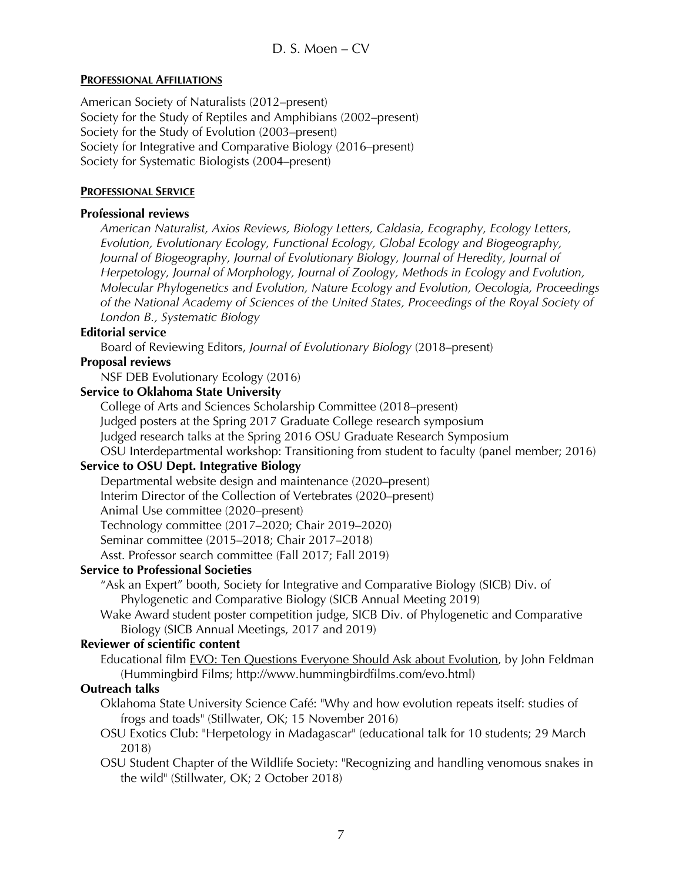## **PROFESSIONAL AFFILIATIONS**

American Society of Naturalists (2012–present) Society for the Study of Reptiles and Amphibians (2002–present) Society for the Study of Evolution (2003–present) Society for Integrative and Comparative Biology (2016–present) Society for Systematic Biologists (2004–present)

# **PROFESSIONAL SERVICE**

## **Professional reviews**

*American Naturalist, Axios Reviews, Biology Letters, Caldasia, Ecography, Ecology Letters, Evolution, Evolutionary Ecology, Functional Ecology, Global Ecology and Biogeography, Journal of Biogeography, Journal of Evolutionary Biology, Journal of Heredity, Journal of Herpetology, Journal of Morphology, Journal of Zoology, Methods in Ecology and Evolution, Molecular Phylogenetics and Evolution, Nature Ecology and Evolution, Oecologia, Proceedings of the National Academy of Sciences of the United States, Proceedings of the Royal Society of London B., Systematic Biology*

## **Editorial service**

Board of Reviewing Editors, *Journal of Evolutionary Biology* (2018–present)

## **Proposal reviews**

NSF DEB Evolutionary Ecology (2016)

## **Service to Oklahoma State University**

College of Arts and Sciences Scholarship Committee (2018–present) Judged posters at the Spring 2017 Graduate College research symposium Judged research talks at the Spring 2016 OSU Graduate Research Symposium OSU Interdepartmental workshop: Transitioning from student to faculty (panel member; 2016)

## **Service to OSU Dept. Integrative Biology**

Departmental website design and maintenance (2020–present) Interim Director of the Collection of Vertebrates (2020–present) Animal Use committee (2020–present) Technology committee (2017–2020; Chair 2019–2020) Seminar committee (2015–2018; Chair 2017–2018) Asst. Professor search committee (Fall 2017; Fall 2019)

## **Service to Professional Societies**

- "Ask an Expert" booth, Society for Integrative and Comparative Biology (SICB) Div. of Phylogenetic and Comparative Biology (SICB Annual Meeting 2019)
- Wake Award student poster competition judge, SICB Div. of Phylogenetic and Comparative Biology (SICB Annual Meetings, 2017 and 2019)

## **Reviewer of scientific content**

Educational film EVO: Ten Questions Everyone Should Ask about Evolution, by John Feldman (Hummingbird Films; http://www.hummingbirdfilms.com/evo.html)

## **Outreach talks**

- Oklahoma State University Science Café: "Why and how evolution repeats itself: studies of frogs and toads" (Stillwater, OK; 15 November 2016)
- OSU Exotics Club: "Herpetology in Madagascar" (educational talk for 10 students; 29 March 2018)
- OSU Student Chapter of the Wildlife Society: "Recognizing and handling venomous snakes in the wild" (Stillwater, OK; 2 October 2018)